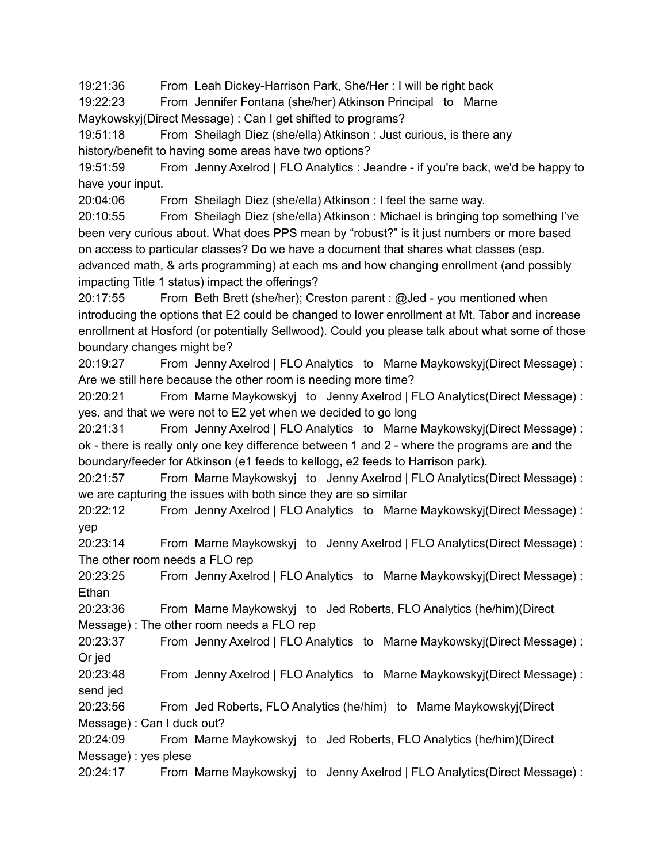19:21:36 From Leah Dickey-Harrison Park, She/Her : I will be right back

19:22:23 From Jennifer Fontana (she/her) Atkinson Principal to Marne Maykowskyj(Direct Message) : Can I get shifted to programs?

19:51:18 From Sheilagh Diez (she/ella) Atkinson : Just curious, is there any history/benefit to having some areas have two options?

19:51:59 From Jenny Axelrod | FLO Analytics : Jeandre - if you're back, we'd be happy to have your input.

20:04:06 From Sheilagh Diez (she/ella) Atkinson : I feel the same way.

20:10:55 From Sheilagh Diez (she/ella) Atkinson : Michael is bringing top something I've been very curious about. What does PPS mean by "robust?" is it just numbers or more based on access to particular classes? Do we have a document that shares what classes (esp. advanced math, & arts programming) at each ms and how changing enrollment (and possibly impacting Title 1 status) impact the offerings?

20:17:55 From Beth Brett (she/her); Creston parent : @Jed - you mentioned when introducing the options that E2 could be changed to lower enrollment at Mt. Tabor and increase enrollment at Hosford (or potentially Sellwood). Could you please talk about what some of those boundary changes might be?

20:19:27 From Jenny Axelrod | FLO Analytics to Marne Maykowskyj(Direct Message) : Are we still here because the other room is needing more time?

20:20:21 From Marne Maykowskyj to Jenny Axelrod | FLO Analytics(Direct Message) : yes. and that we were not to E2 yet when we decided to go long

20:21:31 From Jenny Axelrod | FLO Analytics to Marne Maykowskyj(Direct Message) : ok - there is really only one key difference between 1 and 2 - where the programs are and the boundary/feeder for Atkinson (e1 feeds to kellogg, e2 feeds to Harrison park).

20:21:57 From Marne Maykowskyj to Jenny Axelrod | FLO Analytics(Direct Message) : we are capturing the issues with both since they are so similar

20:22:12 From Jenny Axelrod | FLO Analytics to Marne Maykowskyj(Direct Message) : yep

20:23:14 From Marne Maykowskyj to Jenny Axelrod | FLO Analytics(Direct Message) : The other room needs a FLO rep

20:23:25 From Jenny Axelrod | FLO Analytics to Marne Maykowskyj(Direct Message) : **Ethan** 

20:23:36 From Marne Maykowskyj to Jed Roberts, FLO Analytics (he/him)(Direct Message) : The other room needs a FLO rep

20:23:37 From Jenny Axelrod | FLO Analytics to Marne Maykowskyj(Direct Message) : Or jed

20:23:48 From Jenny Axelrod | FLO Analytics to Marne Maykowskyj(Direct Message) : send jed

20:23:56 From Jed Roberts, FLO Analytics (he/him) to Marne Maykowskyj(Direct Message) : Can I duck out?

20:24:09 From Marne Maykowskyj to Jed Roberts, FLO Analytics (he/him)(Direct Message) : yes plese

20:24:17 From Marne Maykowskyj to Jenny Axelrod | FLO Analytics(Direct Message) :